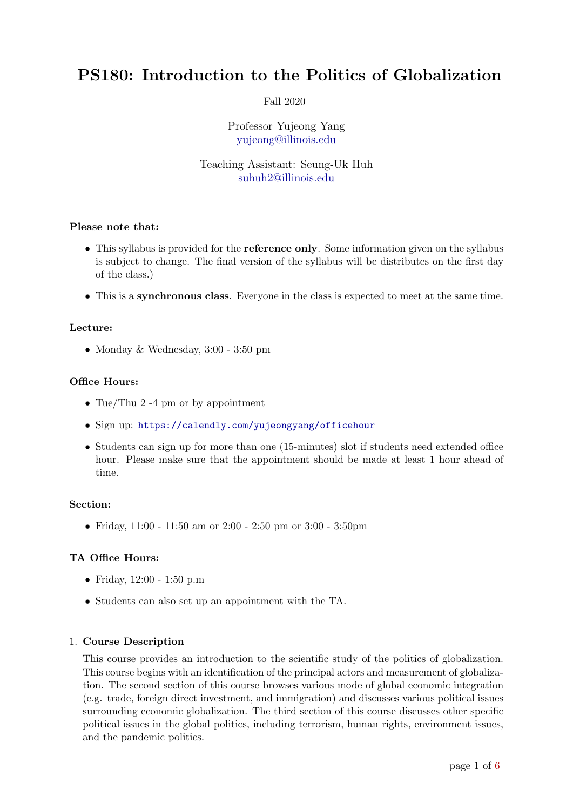# PS180: Introduction to the Politics of Globalization

# Fall 2020

Professor Yujeong Yang [yujeong@illinois.edu](mailto:yujeong@illinois.edu)

# Teaching Assistant: Seung-Uk Huh [suhuh2@illinois.edu](mailto:suhuh2@illinois.edu)

# Please note that:

- This syllabus is provided for the **reference only**. Some information given on the syllabus is subject to change. The final version of the syllabus will be distributes on the first day of the class.)
- This is a synchronous class. Everyone in the class is expected to meet at the same time.

### Lecture:

• Monday & Wednesday, 3:00 - 3:50 pm

### Office Hours:

- Tue/Thu 2 -4 pm or by appointment
- Sign up: <https://calendly.com/yujeongyang/officehour>
- Students can sign up for more than one (15-minutes) slot if students need extended office hour. Please make sure that the appointment should be made at least 1 hour ahead of time.

#### Section:

• Friday, 11:00 - 11:50 am or 2:00 - 2:50 pm or 3:00 - 3:50 pm

# TA Office Hours:

- Friday, 12:00 1:50 p.m
- Students can also set up an appointment with the TA.

# 1. Course Description

This course provides an introduction to the scientific study of the politics of globalization. This course begins with an identification of the principal actors and measurement of globalization. The second section of this course browses various mode of global economic integration (e.g. trade, foreign direct investment, and immigration) and discusses various political issues surrounding economic globalization. The third section of this course discusses other specific political issues in the global politics, including terrorism, human rights, environment issues, and the pandemic politics.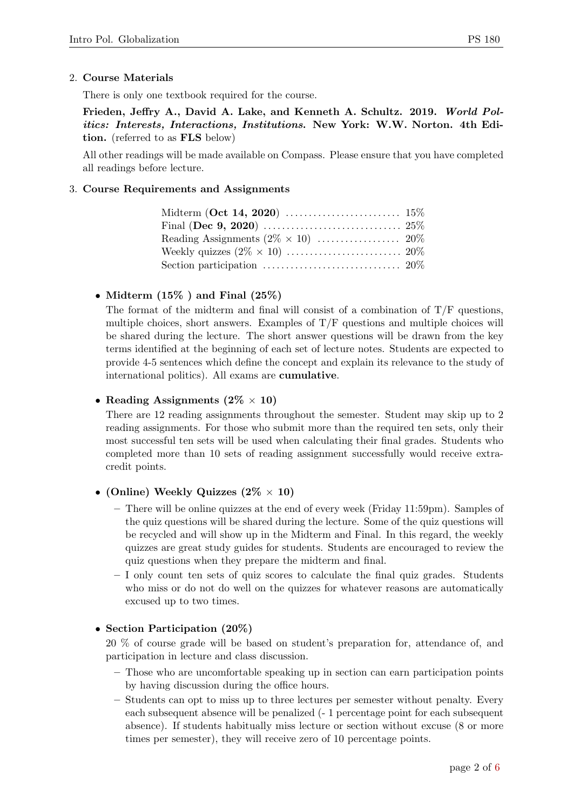# 2. Course Materials

There is only one textbook required for the course.

Frieden, Jeffry A., David A. Lake, and Kenneth A. Schultz. 2019. World Politics: Interests, Interactions, Institutions. New York: W.W. Norton. 4th Edition. (referred to as FLS below)

All other readings will be made available on Compass. Please ensure that you have completed all readings before lecture.

### 3. Course Requirements and Assignments

| Section participation $\ldots \ldots \ldots \ldots \ldots \ldots \ldots \ldots \ldots 20\%$ |  |
|---------------------------------------------------------------------------------------------|--|

# • Midterm  $(15\%$  ) and Final  $(25\%)$

The format of the midterm and final will consist of a combination of  $T/F$  questions, multiple choices, short answers. Examples of T/F questions and multiple choices will be shared during the lecture. The short answer questions will be drawn from the key terms identified at the beginning of each set of lecture notes. Students are expected to provide 4-5 sentences which define the concept and explain its relevance to the study of international politics). All exams are cumulative.

# • Reading Assignments  $(2\% \times 10)$

There are 12 reading assignments throughout the semester. Student may skip up to 2 reading assignments. For those who submit more than the required ten sets, only their most successful ten sets will be used when calculating their final grades. Students who completed more than 10 sets of reading assignment successfully would receive extracredit points.

# • (Online) Weekly Quizzes  $(2\% \times 10)$

- There will be online quizzes at the end of every week (Friday 11:59pm). Samples of the quiz questions will be shared during the lecture. Some of the quiz questions will be recycled and will show up in the Midterm and Final. In this regard, the weekly quizzes are great study guides for students. Students are encouraged to review the quiz questions when they prepare the midterm and final.
- $-$  I only count ten sets of quiz scores to calculate the final quiz grades. Students who miss or do not do well on the quizzes for whatever reasons are automatically excused up to two times.

# • Section Participation (20%)

20 % of course grade will be based on student's preparation for, attendance of, and participation in lecture and class discussion.

- Those who are uncomfortable speaking up in section can earn participation points by having discussion during the office hours.
- Students can opt to miss up to three lectures per semester without penalty. Every each subsequent absence will be penalized (- 1 percentage point for each subsequent absence). If students habitually miss lecture or section without excuse (8 or more times per semester), they will receive zero of 10 percentage points.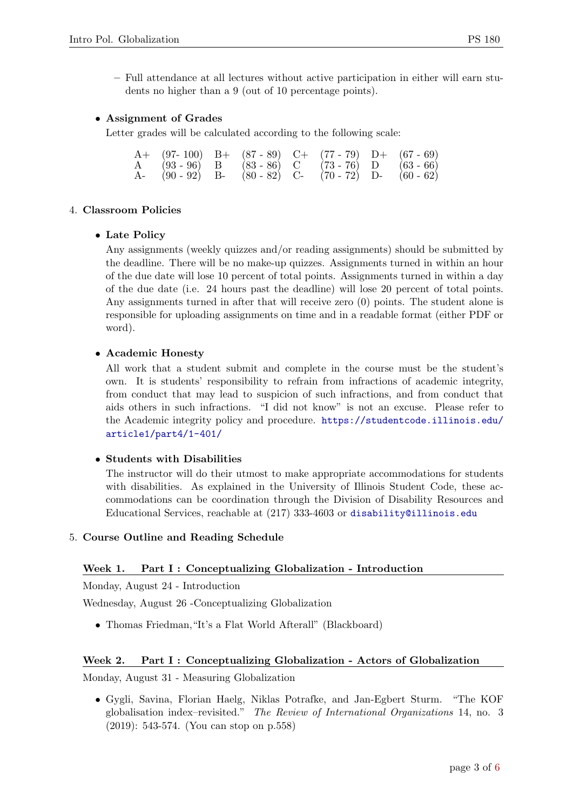– Full attendance at all lectures without active participation in either will earn students no higher than a 9 (out of 10 percentage points).

# • Assignment of Grades

Letter grades will be calculated according to the following scale:

|  |  |  | A+ $(97-100)$ B+ $(87-89)$ C+ $(77-79)$ D+ $(67-69)$ |
|--|--|--|------------------------------------------------------|
|  |  |  | A $(93-96)$ B $(83-86)$ C $(73-76)$ D $(63-66)$      |
|  |  |  | A- $(90-92)$ B- $(80-82)$ C- $(70-72)$ D- $(60-62)$  |

# 4. Classroom Policies

# • Late Policy

Any assignments (weekly quizzes and/or reading assignments) should be submitted by the deadline. There will be no make-up quizzes. Assignments turned in within an hour of the due date will lose 10 percent of total points. Assignments turned in within a day of the due date (i.e. 24 hours past the deadline) will lose 20 percent of total points. Any assignments turned in after that will receive zero (0) points. The student alone is responsible for uploading assignments on time and in a readable format (either PDF or word).

# • Academic Honesty

All work that a student submit and complete in the course must be the student's own. It is students' responsibility to refrain from infractions of academic integrity, from conduct that may lead to suspicion of such infractions, and from conduct that aids others in such infractions. "I did not know" is not an excuse. Please refer to the Academic integrity policy and procedure. [https://studentcode.illinois.edu/](https://studentcode.illinois.edu/article1/part4/1-401/) [article1/part4/1-401/](https://studentcode.illinois.edu/article1/part4/1-401/)

# • Students with Disabilities

The instructor will do their utmost to make appropriate accommodations for students with disabilities. As explained in the University of Illinois Student Code, these accommodations can be coordination through the Division of Disability Resources and Educational Services, reachable at (217) 333-4603 or <disability@illinois.edu>

# 5. Course Outline and Reading Schedule

# Week 1. Part I : Conceptualizing Globalization - Introduction

Monday, August 24 - Introduction

Wednesday, August 26 -Conceptualizing Globalization

• Thomas Friedman,"It's a Flat World Afterall" (Blackboard)

# Week 2. Part I : Conceptualizing Globalization - Actors of Globalization

Monday, August 31 - Measuring Globalization

• Gygli, Savina, Florian Haelg, Niklas Potrafke, and Jan-Egbert Sturm. "The KOF globalisation index–revisited." The Review of International Organizations 14, no. 3 (2019): 543-574. (You can stop on p.558)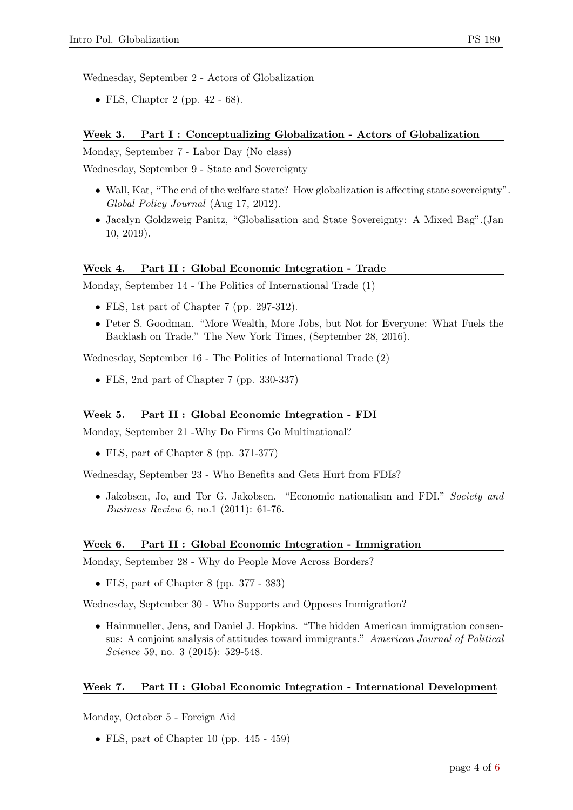Wednesday, September 2 - Actors of Globalization

• FLS, Chapter 2 (pp.  $42 - 68$ ).

#### Week 3. Part I : Conceptualizing Globalization - Actors of Globalization

Monday, September 7 - Labor Day (No class)

Wednesday, September 9 - State and Sovereignty

- Wall, Kat, "The end of the welfare state? How globalization is affecting state sovereignty". Global Policy Journal (Aug 17, 2012).
- Jacalyn Goldzweig Panitz, "Globalisation and State Sovereignty: A Mixed Bag".(Jan 10, 2019).

#### Week 4. Part II : Global Economic Integration - Trade

Monday, September 14 - The Politics of International Trade (1)

- FLS, 1st part of Chapter 7 (pp. 297-312).
- Peter S. Goodman. "More Wealth, More Jobs, but Not for Everyone: What Fuels the Backlash on Trade." The New York Times, (September 28, 2016).

Wednesday, September 16 - The Politics of International Trade (2)

• FLS, 2nd part of Chapter 7 (pp. 330-337)

#### Week 5. Part II : Global Economic Integration - FDI

Monday, September 21 -Why Do Firms Go Multinational?

• FLS, part of Chapter 8 (pp. 371-377)

Wednesday, September 23 - Who Benefits and Gets Hurt from FDIs?

• Jakobsen, Jo, and Tor G. Jakobsen. "Economic nationalism and FDI." Society and Business Review 6, no.1 (2011): 61-76.

#### Week 6. Part II : Global Economic Integration - Immigration

Monday, September 28 - Why do People Move Across Borders?

• FLS, part of Chapter 8 (pp. 377 - 383)

Wednesday, September 30 - Who Supports and Opposes Immigration?

• Hainmueller, Jens, and Daniel J. Hopkins. "The hidden American immigration consensus: A conjoint analysis of attitudes toward immigrants." American Journal of Political Science 59, no. 3 (2015): 529-548.

#### Week 7. Part II : Global Economic Integration - International Development

Monday, October 5 - Foreign Aid

• FLS, part of Chapter 10 (pp. 445 - 459)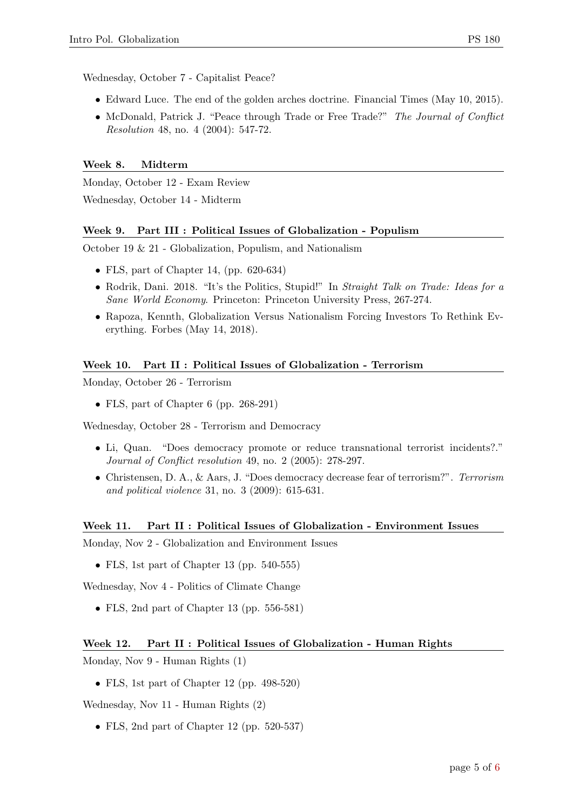Wednesday, October 7 - Capitalist Peace?

- Edward Luce. The end of the golden arches doctrine. Financial Times (May 10, 2015).
- McDonald, Patrick J. "Peace through Trade or Free Trade?" The Journal of Conflict Resolution 48, no. 4 (2004): 547-72.

### Week 8. Midterm

Monday, October 12 - Exam Review Wednesday, October 14 - Midterm

### Week 9. Part III : Political Issues of Globalization - Populism

October 19 & 21 - Globalization, Populism, and Nationalism

- FLS, part of Chapter 14, (pp. 620-634)
- Rodrik, Dani. 2018. "It's the Politics, Stupid!" In Straight Talk on Trade: Ideas for a Sane World Economy. Princeton: Princeton University Press, 267-274.
- Rapoza, Kennth, Globalization Versus Nationalism Forcing Investors To Rethink Everything. Forbes (May 14, 2018).

#### Week 10. Part II : Political Issues of Globalization - Terrorism

Monday, October 26 - Terrorism

• FLS, part of Chapter 6 (pp. 268-291)

Wednesday, October 28 - Terrorism and Democracy

- Li, Quan. "Does democracy promote or reduce transnational terrorist incidents?." Journal of Conflict resolution 49, no. 2 (2005): 278-297.
- Christensen, D. A., & Aars, J. "Does democracy decrease fear of terrorism?". Terrorism and political violence 31, no. 3 (2009): 615-631.

#### Week 11. Part II : Political Issues of Globalization - Environment Issues

Monday, Nov 2 - Globalization and Environment Issues

• FLS, 1st part of Chapter 13 (pp. 540-555)

Wednesday, Nov 4 - Politics of Climate Change

• FLS, 2nd part of Chapter 13 (pp. 556-581)

#### Week 12. Part II : Political Issues of Globalization - Human Rights

Monday, Nov 9 - Human Rights (1)

• FLS, 1st part of Chapter 12 (pp. 498-520)

Wednesday, Nov 11 - Human Rights (2)

• FLS, 2nd part of Chapter 12 (pp. 520-537)